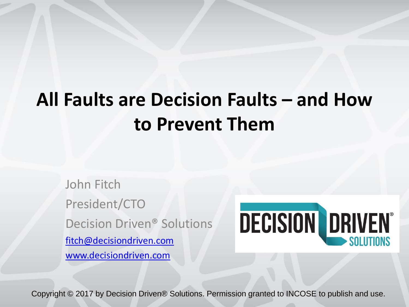### **All Faults are Decision Faults – and How to Prevent Them**

John Fitch President/CTO Decision Driven® Solutions [fitch@decisiondriven.com](mailto:fitch@decisiondriven.com) [www.decisiondriven.com](http://www.decisiondriven.com/)



Copyright © 2017 by Decision Driven® Solutions. Permission granted to INCOSE to publish and use.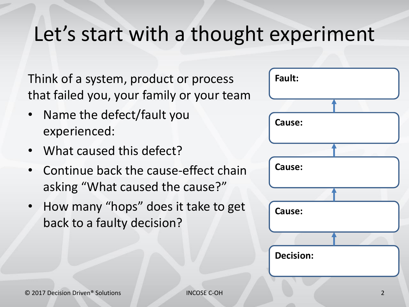### Let's start with a thought experiment

Think of a system, product or process that failed you, your family or your team

- Name the defect/fault you experienced:
- What caused this defect?
- Continue back the cause-effect chain asking "What caused the cause?"
- How many "hops" does it take to get back to a faulty decision?

| Fault:           |  |
|------------------|--|
|                  |  |
|                  |  |
| Cause:           |  |
|                  |  |
|                  |  |
| Cause:           |  |
|                  |  |
|                  |  |
| Cause:           |  |
|                  |  |
|                  |  |
| <b>Decision:</b> |  |
|                  |  |
|                  |  |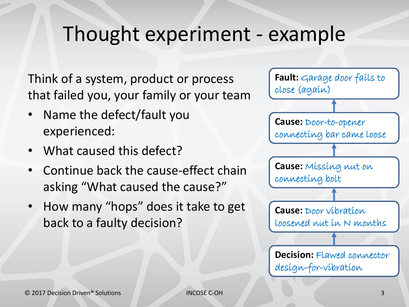### Thought experiment - example

Think of a system, product or process that failed you, your family or your team

- Name the defect/fault you experienced:
- What caused this defect?
- Continue back the cause-effect chain asking "What caused the cause?"
- How many "hops" does it take to get back to a faulty decision?

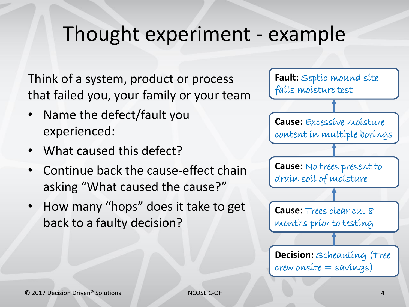### Thought experiment - example

Think of a system, product or process that failed you, your family or your team

- Name the defect/fault you experienced:
- What caused this defect?
- Continue back the cause-effect chain asking "What caused the cause?"
- How many "hops" does it take to get back to a faulty decision?

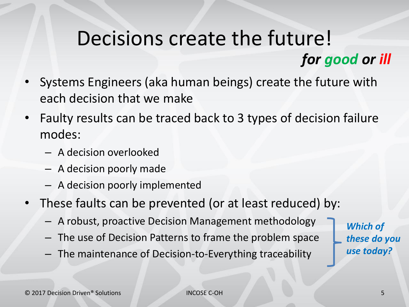### Decisions create the future! *for good or ill*

- Systems Engineers (aka human beings) create the future with each decision that we make
- Faulty results can be traced back to 3 types of decision failure modes:
	- A decision overlooked
	- A decision poorly made
	- A decision poorly implemented
- These faults can be prevented (or at least reduced) by:
	- A robust, proactive Decision Management methodology
	- The use of Decision Patterns to frame the problem space
	- The maintenance of Decision-to-Everything traceability

*Which of these do you use today?*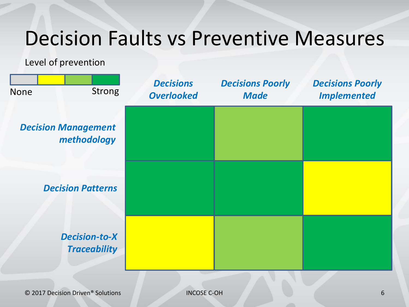### Decision Faults vs Preventive Measures

Level of prevention

| <b>None</b> | <b>Strong</b>                               | <b>Decisions</b><br><b>Overlooked</b> | <b>Decisions Poorly</b><br><b>Made</b> | <b>Decisions Poorly</b><br><b>Implemented</b> |
|-------------|---------------------------------------------|---------------------------------------|----------------------------------------|-----------------------------------------------|
|             | <b>Decision Management</b><br>methodology   |                                       |                                        |                                               |
|             | <b>Decision Patterns</b>                    |                                       |                                        |                                               |
|             | <b>Decision-to-X</b><br><b>Traceability</b> |                                       |                                        |                                               |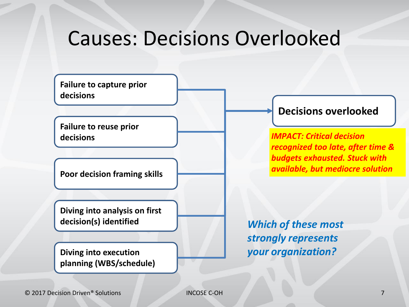### Causes: Decisions Overlooked

**Failure to capture prior decisions**

**Failure to reuse prior decisions**

**Poor decision framing skills**

**Diving into analysis on first decision(s) identified**

**Diving into execution planning (WBS/schedule)**

#### **Decisions overlooked**

*IMPACT: Critical decision recognized too late, after time & budgets exhausted. Stuck with available, but mediocre solution*

*Which of these most strongly represents your organization?*

© 2017 Decision Driven® Solutions INCOSE C-OH 7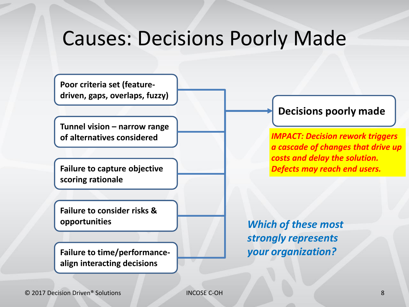### Causes: Decisions Poorly Made

**Poor criteria set (featuredriven, gaps, overlaps, fuzzy)**

**Tunnel vision – narrow range of alternatives considered**

**Failure to capture objective scoring rationale**

**Failure to consider risks & opportunities**

**Failure to time/performancealign interacting decisions**

### **Decisions poorly made**

*IMPACT: Decision rework triggers a cascade of changes that drive up costs and delay the solution. Defects may reach end users.*

*Which of these most strongly represents your organization?*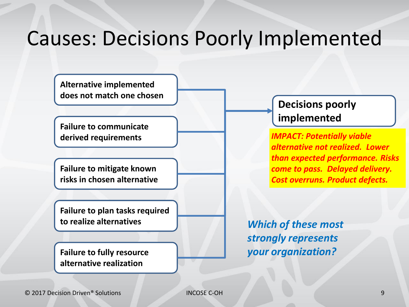### Causes: Decisions Poorly Implemented

**Alternative implemented does not match one chosen** 

**Failure to communicate derived requirements**

**Failure to mitigate known risks in chosen alternative**

**Failure to plan tasks required to realize alternatives**

**Failure to fully resource alternative realization**

### **Decisions poorly implemented**

*IMPACT: Potentially viable alternative not realized. Lower than expected performance. Risks come to pass. Delayed delivery. Cost overruns. Product defects.*

*Which of these most strongly represents your organization?*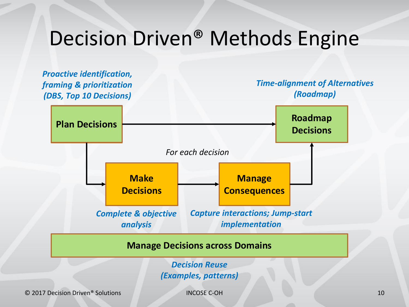### Decision Driven® Methods Engine



© 2017 Decision Driven® Solutions INCOSE C-OH 10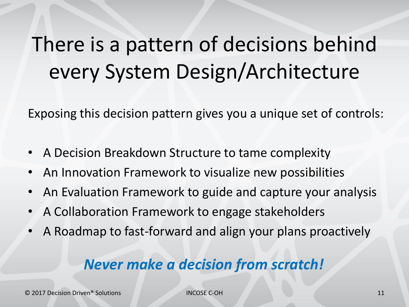# There is a pattern of decisions behind every System Design/Architecture

Exposing this decision pattern gives you a unique set of controls:

- A Decision Breakdown Structure to tame complexity
- An Innovation Framework to visualize new possibilities
- An Evaluation Framework to guide and capture your analysis
- A Collaboration Framework to engage stakeholders
- A Roadmap to fast-forward and align your plans proactively

### *Never make a decision from scratch!*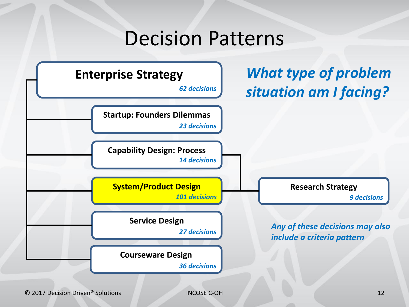### Decision Patterns **Enterprise Strategy** *62 decisions* **Startup: Founders Dilemmas Capability Design: Process System/Product Design by Research Strategy Service Design Courseware Design** *23 decisions 14 decisions 101 decisions 27 decisions 36 decisions 9 decisions Any of these decisions may also include a criteria pattern What type of problem situation am I facing?*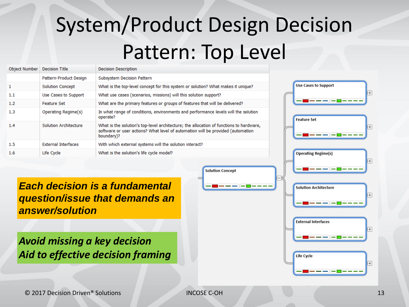# System/Product Design Decision Pattern: Top Level

| Object Number | <b>Decision Title</b>      | <b>Decision Description</b>                                                                                                                                                              |
|---------------|----------------------------|------------------------------------------------------------------------------------------------------------------------------------------------------------------------------------------|
|               | Pattern-Product Design     | Subsystem Decision Pattern                                                                                                                                                               |
| $\mathbf{1}$  | <b>Solution Concept</b>    | What is the top-level concept for this system or solution? What makes it unique?                                                                                                         |
| 1.1           | Use Cases to Support       | What use cases (scenarios, missions) will this solution support?                                                                                                                         |
| 1.2           | Feature Set                | What are the primary features or groups of features that will be delivered?                                                                                                              |
| 1.3           | Operating Regime(s)        | In what range of conditions, environments and performance levels will the solution<br>operate?                                                                                           |
| 1.4           | Solution Architecture      | What is the solution's top-level architecture; the allocation of functions to hardware,<br>software or user actions? What level of automation will be provided (automation<br>boundary)? |
| 1.5           | <b>External Interfaces</b> | With which external systems will the solution interact?                                                                                                                                  |
| $1.6\,$       | Life Cycle                 | What is the solution's life cycle model?                                                                                                                                                 |



*Each decision is a fundamental question/issue that demands an answer/solution*

*Avoid missing a key decision Aid to effective decision framing*

**Solution Concept**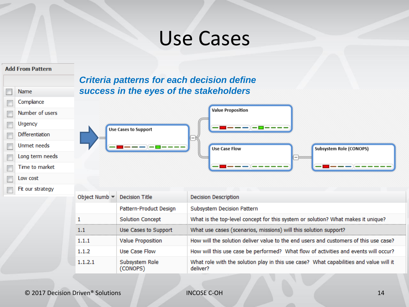### Use Cases

#### **Add From Pattern**

| Name             |
|------------------|
| Compliance       |
| Number of users  |
| Urgency          |
| Differentiation  |
| Unmet needs      |
| Long term needs  |
| Time to market   |
| Low cost         |
| Fit our strategy |
|                  |

### *Criteria patterns for each decision define success in the eyes of the stakeholders*



| Object Numb $\blacktriangledown$ | Decision Title             | <b>Decision Description</b>                                                                        |
|----------------------------------|----------------------------|----------------------------------------------------------------------------------------------------|
|                                  | Pattern-Product Design     | Subsystem Decision Pattern                                                                         |
|                                  | <b>Solution Concept</b>    | What is the top-level concept for this system or solution? What makes it unique?                   |
| 1.1                              | Use Cases to Support       | What use cases (scenarios, missions) will this solution support?                                   |
| 1.1.1                            | <b>Value Proposition</b>   | How will the solution deliver value to the end users and customers of this use case?               |
| 1.1.2                            | Use Case Flow              | How will this use case be performed? What flow of activities and events will occur?                |
| 1.1.2.1                          | Subsystem Role<br>(CONOPS) | What role with the solution play in this use case? What capabilities and value will it<br>deliver? |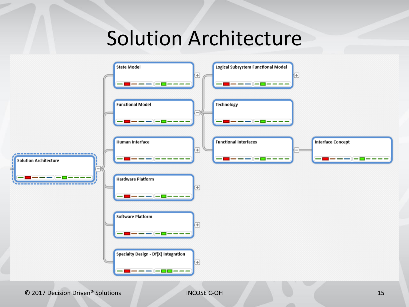### Solution Architecture



© 2017 Decision Driven® Solutions INCOSE C-OH 15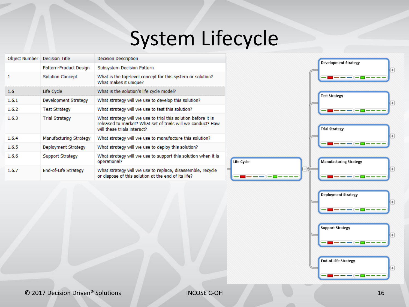# System Lifecycle

Life Cycle

| Object Number | Decision Title          | <b>Decision Description</b>                                                                                                                                 |
|---------------|-------------------------|-------------------------------------------------------------------------------------------------------------------------------------------------------------|
|               | Pattern-Product Design  | Subsystem Decision Pattern                                                                                                                                  |
| 1             | <b>Solution Concept</b> | What is the top-level concept for this system or solution?<br>What makes it unique?                                                                         |
| 1.6           | Life Cycle              | What is the solution's life cycle model?                                                                                                                    |
| 1.6.1         | Development Strategy    | What strategy will we use to develop this solution?                                                                                                         |
| 1.6.2         | <b>Test Strategy</b>    | What strategy will we use to test this solution?                                                                                                            |
| 1.6.3         | <b>Trial Strategy</b>   | What strategy will we use to trial this solution before it is<br>released to market? What set of trials will we conduct? How<br>will these trials interact? |
| 1.6.4         | Manufacturing Strategy  | What strategy will we use to manufacture this solution?                                                                                                     |
| 1.6.5         | Deployment Strategy     | What strategy will we use to deploy this solution?                                                                                                          |
| 1.6.6         | Support Strategy        | What strategy will we use to support this solution when it is<br>operational?                                                                               |
| 1.6.7         | End-of-Life Strategy    | What strategy will we use to replace, disassemble, recycle<br>or dispose of this solution at the end of its life?                                           |



 $+$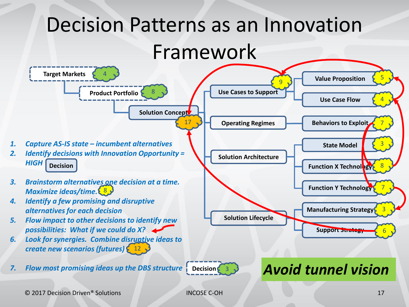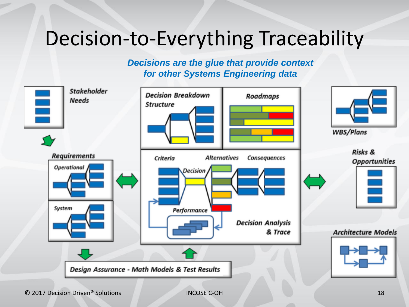### Decision-to-Everything Traceability

*Decisions are the glue that provide context for other Systems Engineering data*

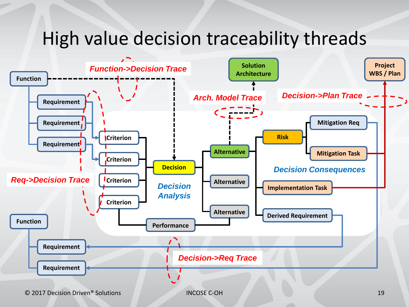### High value decision traceability threads

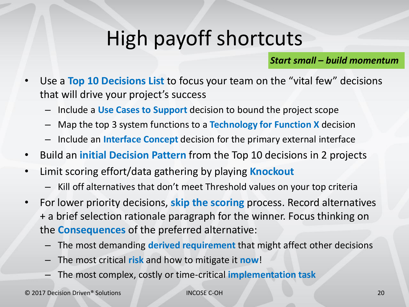# High payoff shortcuts

*Start small – build momentum*

- Use a **Top 10 Decisions List** to focus your team on the "vital few" decisions that will drive your project's success
	- Include a **Use Cases to Support** decision to bound the project scope
	- Map the top 3 system functions to a **Technology for Function X** decision
	- Include an **Interface Concept** decision for the primary external interface
- Build an **initial Decision Pattern** from the Top 10 decisions in 2 projects
- Limit scoring effort/data gathering by playing **Knockout**
	- Kill off alternatives that don't meet Threshold values on your top criteria
- For lower priority decisions, **skip the scoring** process. Record alternatives + a brief selection rationale paragraph for the winner. Focus thinking on the **Consequences** of the preferred alternative:
	- The most demanding **derived requirement** that might affect other decisions
	- The most critical **risk** and how to mitigate it **now**!
	- The most complex, costly or time-critical **implementation task**